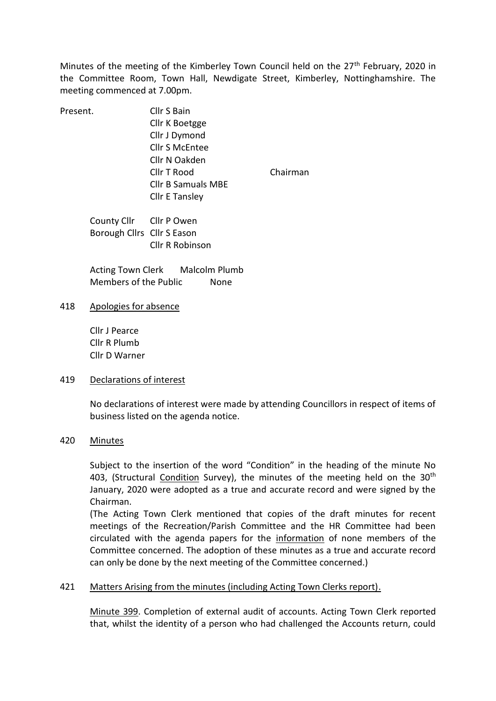Minutes of the meeting of the Kimberley Town Council held on the  $27<sup>th</sup>$  February, 2020 in the Committee Room, Town Hall, Newdigate Street, Kimberley, Nottinghamshire. The meeting commenced at 7.00pm.

Present. Cllr S Bain Cllr K Boetgge Cllr J Dymond Cllr S McEntee Cllr N Oakden Cllr B Samuals MBE

Cllr T Rood Chairman

County Cllr Cllr P Owen Borough Cllrs Cllr S Eason Cllr R Robinson

Acting Town Clerk Malcolm Plumb Members of the Public None

Cllr E Tansley

418 Apologies for absence

Cllr J Pearce Cllr R Plumb Cllr D Warner

#### 419 Declarations of interest

No declarations of interest were made by attending Councillors in respect of items of business listed on the agenda notice.

#### 420 Minutes

Subject to the insertion of the word "Condition" in the heading of the minute No 403, (Structural Condition Survey), the minutes of the meeting held on the 30<sup>th</sup> January, 2020 were adopted as a true and accurate record and were signed by the Chairman.

(The Acting Town Clerk mentioned that copies of the draft minutes for recent meetings of the Recreation/Parish Committee and the HR Committee had been circulated with the agenda papers for the information of none members of the Committee concerned. The adoption of these minutes as a true and accurate record can only be done by the next meeting of the Committee concerned.)

### 421 Matters Arising from the minutes (including Acting Town Clerks report).

Minute 399. Completion of external audit of accounts. Acting Town Clerk reported that, whilst the identity of a person who had challenged the Accounts return, could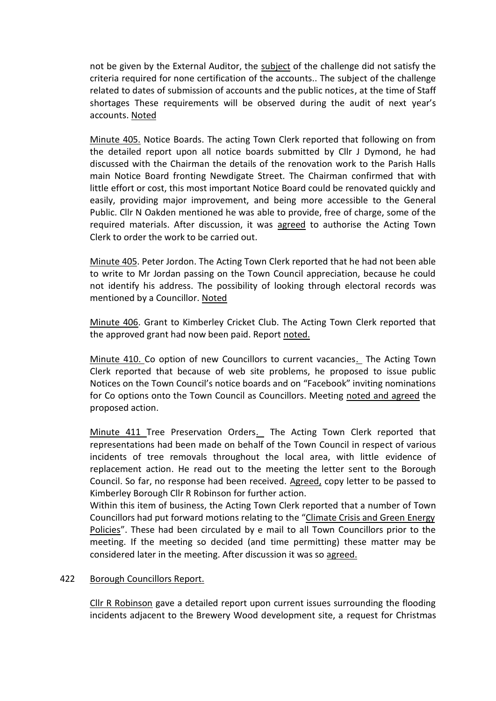not be given by the External Auditor, the subject of the challenge did not satisfy the criteria required for none certification of the accounts.. The subject of the challenge related to dates of submission of accounts and the public notices, at the time of Staff shortages These requirements will be observed during the audit of next year's accounts. Noted

Minute 405. Notice Boards. The acting Town Clerk reported that following on from the detailed report upon all notice boards submitted by Cllr J Dymond, he had discussed with the Chairman the details of the renovation work to the Parish Halls main Notice Board fronting Newdigate Street. The Chairman confirmed that with little effort or cost, this most important Notice Board could be renovated quickly and easily, providing major improvement, and being more accessible to the General Public. Cllr N Oakden mentioned he was able to provide, free of charge, some of the required materials. After discussion, it was agreed to authorise the Acting Town Clerk to order the work to be carried out.

Minute 405. Peter Jordon. The Acting Town Clerk reported that he had not been able to write to Mr Jordan passing on the Town Council appreciation, because he could not identify his address. The possibility of looking through electoral records was mentioned by a Councillor. Noted

Minute 406. Grant to Kimberley Cricket Club. The Acting Town Clerk reported that the approved grant had now been paid. Report noted.

Minute 410. Co option of new Councillors to current vacancies. The Acting Town Clerk reported that because of web site problems, he proposed to issue public Notices on the Town Council's notice boards and on "Facebook" inviting nominations for Co options onto the Town Council as Councillors. Meeting noted and agreed the proposed action.

Minute 411 Tree Preservation Orders. The Acting Town Clerk reported that representations had been made on behalf of the Town Council in respect of various incidents of tree removals throughout the local area, with little evidence of replacement action. He read out to the meeting the letter sent to the Borough Council. So far, no response had been received. Agreed, copy letter to be passed to Kimberley Borough Cllr R Robinson for further action.

Within this item of business, the Acting Town Clerk reported that a number of Town Councillors had put forward motions relating to the "Climate Crisis and Green Energy Policies". These had been circulated by e mail to all Town Councillors prior to the meeting. If the meeting so decided (and time permitting) these matter may be considered later in the meeting. After discussion it was so agreed.

### 422 Borough Councillors Report.

Cllr R Robinson gave a detailed report upon current issues surrounding the flooding incidents adjacent to the Brewery Wood development site, a request for Christmas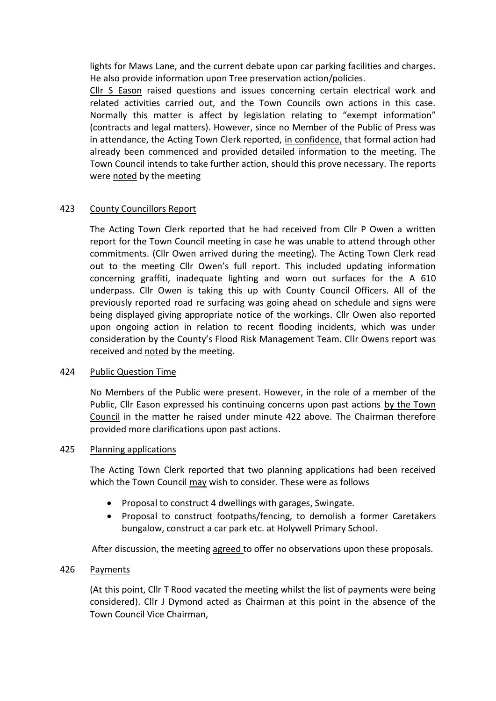lights for Maws Lane, and the current debate upon car parking facilities and charges. He also provide information upon Tree preservation action/policies.

Cllr S Eason raised questions and issues concerning certain electrical work and related activities carried out, and the Town Councils own actions in this case. Normally this matter is affect by legislation relating to "exempt information" (contracts and legal matters). However, since no Member of the Public of Press was in attendance, the Acting Town Clerk reported, in confidence, that formal action had already been commenced and provided detailed information to the meeting. The Town Council intends to take further action, should this prove necessary. The reports were noted by the meeting

# 423 County Councillors Report

The Acting Town Clerk reported that he had received from Cllr P Owen a written report for the Town Council meeting in case he was unable to attend through other commitments. (Cllr Owen arrived during the meeting). The Acting Town Clerk read out to the meeting Cllr Owen's full report. This included updating information concerning graffiti, inadequate lighting and worn out surfaces for the A 610 underpass. Cllr Owen is taking this up with County Council Officers. All of the previously reported road re surfacing was going ahead on schedule and signs were being displayed giving appropriate notice of the workings. Cllr Owen also reported upon ongoing action in relation to recent flooding incidents, which was under consideration by the County's Flood Risk Management Team. Cllr Owens report was received and noted by the meeting.

### 424 Public Question Time

No Members of the Public were present. However, in the role of a member of the Public, Cllr Eason expressed his continuing concerns upon past actions by the Town Council in the matter he raised under minute 422 above. The Chairman therefore provided more clarifications upon past actions.

### 425 Planning applications

The Acting Town Clerk reported that two planning applications had been received which the Town Council may wish to consider. These were as follows

- Proposal to construct 4 dwellings with garages, Swingate.
- Proposal to construct footpaths/fencing, to demolish a former Caretakers bungalow, construct a car park etc. at Holywell Primary School.

After discussion, the meeting agreed to offer no observations upon these proposals.

## 426 Payments

(At this point, Cllr T Rood vacated the meeting whilst the list of payments were being considered). Cllr J Dymond acted as Chairman at this point in the absence of the Town Council Vice Chairman,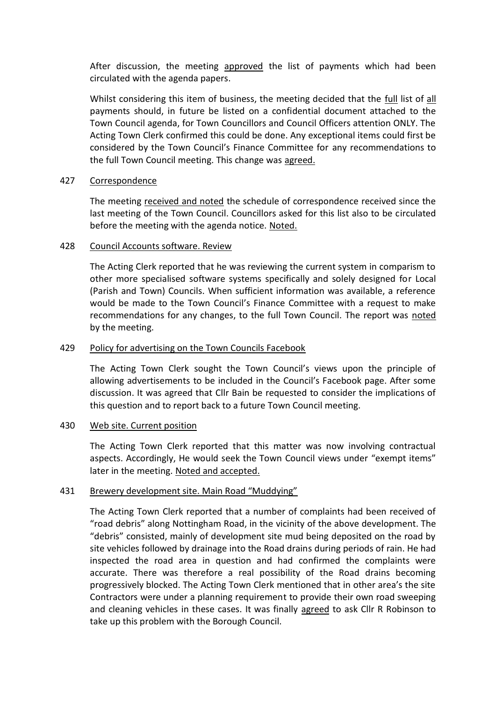After discussion, the meeting approved the list of payments which had been circulated with the agenda papers.

Whilst considering this item of business, the meeting decided that the full list of all payments should, in future be listed on a confidential document attached to the Town Council agenda, for Town Councillors and Council Officers attention ONLY. The Acting Town Clerk confirmed this could be done. Any exceptional items could first be considered by the Town Council's Finance Committee for any recommendations to the full Town Council meeting. This change was agreed.

### 427 Correspondence

The meeting received and noted the schedule of correspondence received since the last meeting of the Town Council. Councillors asked for this list also to be circulated before the meeting with the agenda notice. Noted.

#### 428 Council Accounts software. Review

The Acting Clerk reported that he was reviewing the current system in comparism to other more specialised software systems specifically and solely designed for Local (Parish and Town) Councils. When sufficient information was available, a reference would be made to the Town Council's Finance Committee with a request to make recommendations for any changes, to the full Town Council. The report was noted by the meeting.

### 429 Policy for advertising on the Town Councils Facebook

The Acting Town Clerk sought the Town Council's views upon the principle of allowing advertisements to be included in the Council's Facebook page. After some discussion. It was agreed that Cllr Bain be requested to consider the implications of this question and to report back to a future Town Council meeting.

### 430 Web site. Current position

The Acting Town Clerk reported that this matter was now involving contractual aspects. Accordingly, He would seek the Town Council views under "exempt items" later in the meeting. Noted and accepted.

### 431 Brewery development site. Main Road "Muddying"

The Acting Town Clerk reported that a number of complaints had been received of "road debris" along Nottingham Road, in the vicinity of the above development. The "debris" consisted, mainly of development site mud being deposited on the road by site vehicles followed by drainage into the Road drains during periods of rain. He had inspected the road area in question and had confirmed the complaints were accurate. There was therefore a real possibility of the Road drains becoming progressively blocked. The Acting Town Clerk mentioned that in other area's the site Contractors were under a planning requirement to provide their own road sweeping and cleaning vehicles in these cases. It was finally agreed to ask Cllr R Robinson to take up this problem with the Borough Council.